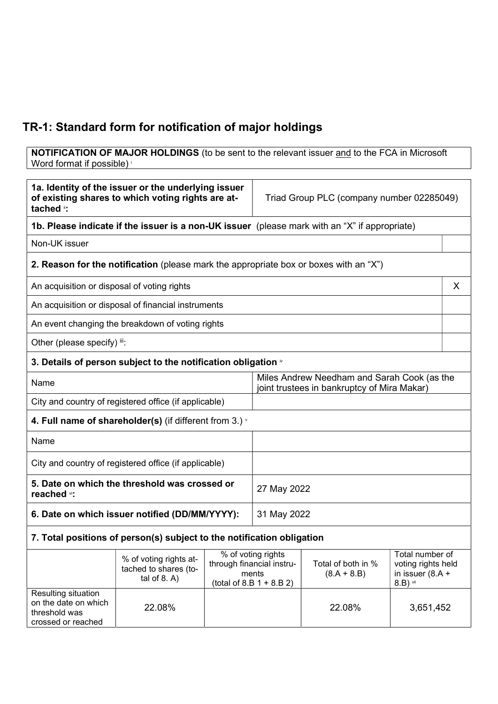## TR-1: Standard form for notification of major holdings

**NOTIFICATION OF MAJOR HOLDINGS** (to be sent to the relevant issuer and to the FCA in Microsoft Word format if possible) <sup>i</sup>

| 1a. Identity of the issuer or the underlying issuer<br>of existing shares to which voting rights are at-<br>tached ": |                                                                                               |                                                                                            | Triad Group PLC (company number 02285049)                                              |                                     |                                                                           |  |
|-----------------------------------------------------------------------------------------------------------------------|-----------------------------------------------------------------------------------------------|--------------------------------------------------------------------------------------------|----------------------------------------------------------------------------------------|-------------------------------------|---------------------------------------------------------------------------|--|
|                                                                                                                       | 1b. Please indicate if the issuer is a non-UK issuer (please mark with an "X" if appropriate) |                                                                                            |                                                                                        |                                     |                                                                           |  |
| Non-UK issuer                                                                                                         |                                                                                               |                                                                                            |                                                                                        |                                     |                                                                           |  |
|                                                                                                                       | <b>2. Reason for the notification</b> (please mark the appropriate box or boxes with an "X")  |                                                                                            |                                                                                        |                                     |                                                                           |  |
| An acquisition or disposal of voting rights                                                                           |                                                                                               |                                                                                            |                                                                                        |                                     | X                                                                         |  |
|                                                                                                                       | An acquisition or disposal of financial instruments                                           |                                                                                            |                                                                                        |                                     |                                                                           |  |
|                                                                                                                       | An event changing the breakdown of voting rights                                              |                                                                                            |                                                                                        |                                     |                                                                           |  |
| Other (please specify) iii:                                                                                           |                                                                                               |                                                                                            |                                                                                        |                                     |                                                                           |  |
|                                                                                                                       | 3. Details of person subject to the notification obligation $\mathbf{\dot{w}}$                |                                                                                            |                                                                                        |                                     |                                                                           |  |
| Name                                                                                                                  |                                                                                               | Miles Andrew Needham and Sarah Cook (as the<br>joint trustees in bankruptcy of Mira Makar) |                                                                                        |                                     |                                                                           |  |
| City and country of registered office (if applicable)                                                                 |                                                                                               |                                                                                            |                                                                                        |                                     |                                                                           |  |
|                                                                                                                       | 4. Full name of shareholder(s) (if different from 3.) $\dot{ }$                               |                                                                                            |                                                                                        |                                     |                                                                           |  |
| Name                                                                                                                  |                                                                                               |                                                                                            |                                                                                        |                                     |                                                                           |  |
| City and country of registered office (if applicable)                                                                 |                                                                                               |                                                                                            |                                                                                        |                                     |                                                                           |  |
| 5. Date on which the threshold was crossed or<br>reached vi:                                                          |                                                                                               | 27 May 2022                                                                                |                                                                                        |                                     |                                                                           |  |
| 6. Date on which issuer notified (DD/MM/YYYY):                                                                        |                                                                                               | 31 May 2022                                                                                |                                                                                        |                                     |                                                                           |  |
|                                                                                                                       | 7. Total positions of person(s) subject to the notification obligation                        |                                                                                            |                                                                                        |                                     |                                                                           |  |
|                                                                                                                       | % of voting rights at-<br>tached to shares (to-<br>tal of $8. A$ )                            |                                                                                            | % of voting rights<br>through financial instru-<br>ments<br>$(total of 8.B 1 + 8.B 2)$ | Total of both in %<br>$(8.A + 8.B)$ | Total number of<br>voting rights held<br>in issuer $(8.A +$<br>$8.B)$ vii |  |
| Resulting situation<br>on the date on which<br>threshold was<br>crossed or reached                                    | 22.08%                                                                                        |                                                                                            |                                                                                        | 22.08%                              | 3,651,452                                                                 |  |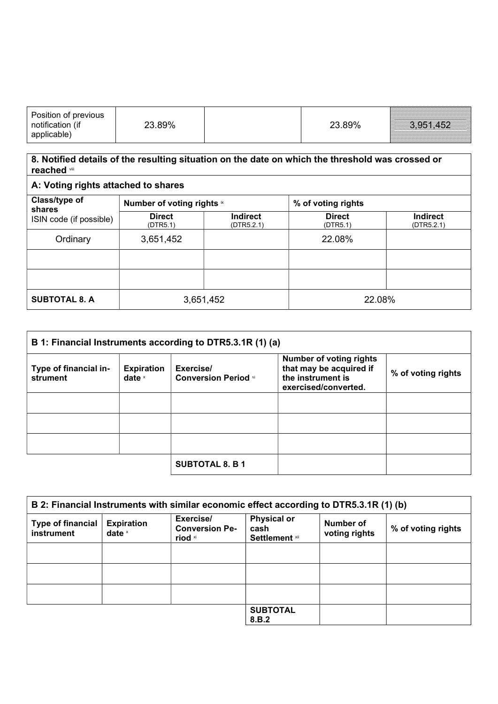| Position of previous<br>notification (if<br>applicable) | 23.89% | 23.89% | 3,951,452 |
|---------------------------------------------------------|--------|--------|-----------|
|---------------------------------------------------------|--------|--------|-----------|

## 8. Notified details of the resulting situation on the date on which the threshold was crossed or reached viii

| A: Voting rights attached to shares |                            |                               |                           |                               |
|-------------------------------------|----------------------------|-------------------------------|---------------------------|-------------------------------|
| Class/type of<br>shares             | Number of voting rights ix |                               | % of voting rights        |                               |
| ISIN code (if possible)             | <b>Direct</b><br>(DTR5.1)  | <b>Indirect</b><br>(DTR5.2.1) | <b>Direct</b><br>(DTR5.1) | <b>Indirect</b><br>(DTR5.2.1) |
| Ordinary                            | 3,651,452                  |                               | 22.08%                    |                               |
|                                     |                            |                               |                           |                               |
|                                     |                            |                               |                           |                               |
| <b>SUBTOTAL 8. A</b>                |                            | 3,651,452                     | 22.08%                    |                               |

| B 1: Financial Instruments according to DTR5.3.1R (1) (a) |                               |                                          |                                                                                                        |                    |
|-----------------------------------------------------------|-------------------------------|------------------------------------------|--------------------------------------------------------------------------------------------------------|--------------------|
| Type of financial in-<br>strument                         | <b>Expiration</b><br>date $x$ | Exercise/<br><b>Conversion Period xi</b> | <b>Number of voting rights</b><br>that may be acquired if<br>the instrument is<br>exercised/converted. | % of voting rights |
|                                                           |                               |                                          |                                                                                                        |                    |
|                                                           |                               |                                          |                                                                                                        |                    |
|                                                           |                               |                                          |                                                                                                        |                    |
|                                                           |                               | <b>SUBTOTAL 8. B 1</b>                   |                                                                                                        |                    |

| B 2: Financial Instruments with similar economic effect according to DTR5.3.1R (1) (b) |                               |                                                          |                                                     |                            |                    |
|----------------------------------------------------------------------------------------|-------------------------------|----------------------------------------------------------|-----------------------------------------------------|----------------------------|--------------------|
| <b>Type of financial</b><br>instrument                                                 | <b>Expiration</b><br>date $x$ | Exercise/<br><b>Conversion Pe-</b><br>riod <sup>xi</sup> | <b>Physical or</b><br>cash<br><b>Settlement xii</b> | Number of<br>voting rights | % of voting rights |
|                                                                                        |                               |                                                          |                                                     |                            |                    |
|                                                                                        |                               |                                                          |                                                     |                            |                    |
|                                                                                        |                               |                                                          |                                                     |                            |                    |
|                                                                                        |                               |                                                          | <b>SUBTOTAL</b><br>8.B.2                            |                            |                    |